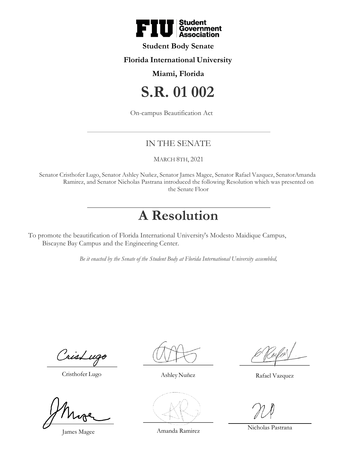

# **Student Body Senate**

### **Florida International University**

### **Miami, Florida**

# **S.R. 01 002**

On-campus Beautification Act

# IN THE SENATE

#### MARCH 8TH, 2021

Senator Cristhofer Lugo, Senator Ashley Nuñez, Senator James Magee, Senator Rafael Vazquez, SenatorAmanda Ramirez, and Senator Nicholas Pastrana introduced the following Resolution which was presented on the Senate Floor

# **A Resolution**

To promote the beautification of Florida International University's Modesto Maidique Campus, Biscayne Bay Campus and the Engineering Center.

*Be it enacted by the Senate of the Student Body at Florida International University assembled,*

CrisLugo

Cristhofer Lugo Ashley Nuñez Rafael Vazquez

James Magee Amanda Ramirez Nicholas Pastrana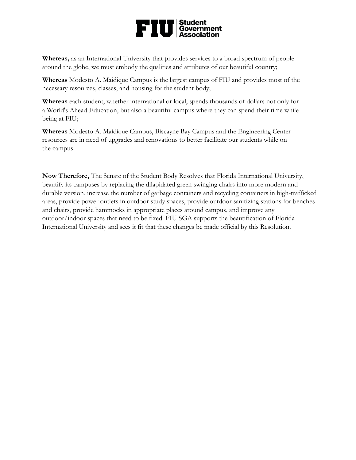

**Whereas,** as an International University that provides services to a broad spectrum of people around the globe, we must embody the qualities and attributes of our beautiful country;

**Whereas** Modesto A. Maidique Campus is the largest campus of FIU and provides most of the necessary resources, classes, and housing for the student body;

**Whereas** each student, whether international or local, spends thousands of dollars not only for a World's Ahead Education, but also a beautiful campus where they can spend their time while being at FIU;

**Whereas** Modesto A. Maidique Campus, Biscayne Bay Campus and the Engineering Center resources are in need of upgrades and renovations to better facilitate our students while on the campus.

**Now Therefore,** The Senate of the Student Body Resolves that Florida International University, beautify its campuses by replacing the dilapidated green swinging chairs into more modern and durable version, increase the number of garbage containers and recycling containers in high-trafficked areas, provide power outlets in outdoor study spaces, provide outdoor sanitizing stations for benches and chairs, provide hammocks in appropriate places around campus, and improve any outdoor/indoor spaces that need to be fixed. FIU SGA supports the beautification of Florida International University and sees it fit that these changes be made official by this Resolution.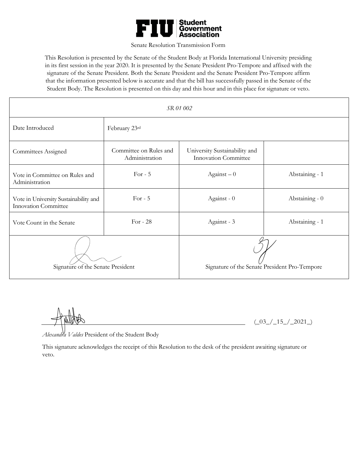

#### Senate Resolution Transmission Form

This Resolution is presented by the Senate of the Student Body at Florida International University presiding in its first session in the year 2020. It is presented by the Senate President Pro-Tempore and affixed with the signature of the Senate President. Both the Senate President and the Senate President Pro-Tempore affirm that the information presented below is accurate and that the bill has successfully passed in the Senate of the Student Body. The Resolution is presented on this day and this hour and in this place for signature or veto.

| SR 01 002                                                            |                                          |                                                              |                |
|----------------------------------------------------------------------|------------------------------------------|--------------------------------------------------------------|----------------|
| Date Introduced                                                      | February 23rd                            |                                                              |                |
| Committees Assigned                                                  | Committee on Rules and<br>Administration | University Sustainability and<br><b>Innovation Committee</b> |                |
| Vote in Committee on Rules and<br>Administration                     | For $-5$                                 | $Against-0$                                                  | Abstaining - 1 |
| Vote in University Sustainability and<br><b>Innovation Committee</b> | For $-5$                                 | Against - 0                                                  | Abstaining - 0 |
| Vote Count in the Senate                                             | For - $28$                               | Against - 3                                                  | Abstaining - 1 |
| Signature of the Senate President                                    |                                          | Signature of the Senate President Pro-Tempore                |                |

 $(-03_{-}/15_{-}/2021_{-})$ 

*Alexandra Valdes* President of the Student Body

This signature acknowledges the receipt of this Resolution to the desk of the president awaiting signature or veto.